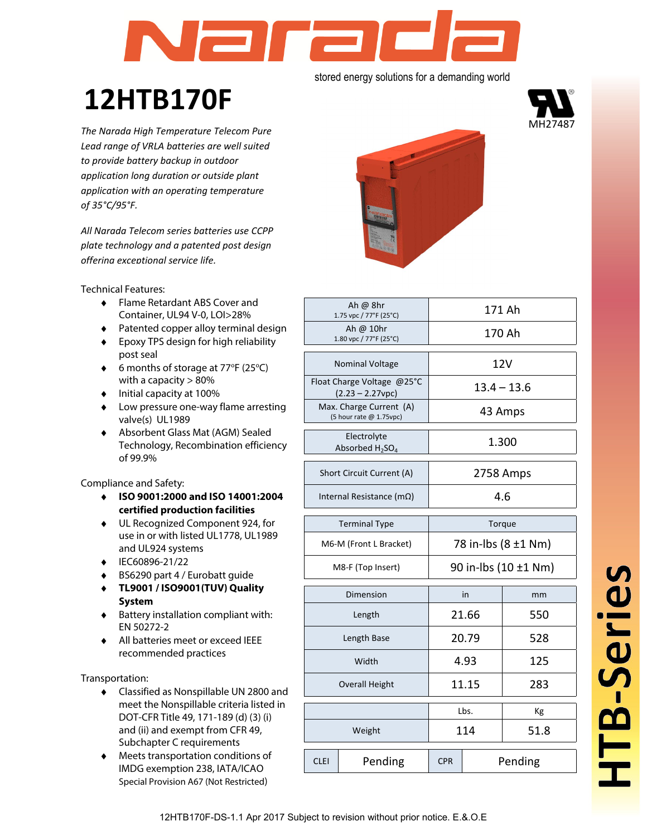# la ra stored energy solutions for a demanding world

# **12HTB170F**

*The Narada High Temperature Telecom Pure Lead range of VRLA batteries are well suited to provide battery backup in outdoor application long duration or outside plant application with an operating temperature of 35°C/95°F.* 

*All Narada Telecom series batteries use CCPP plate technology and a patented post design offering exceptional service life.*

Technical Features:

- ♦ Flame Retardant ABS Cover and Container, UL94 V-0, LOI>28%
- ♦ Patented copper alloy terminal design
- ♦ Epoxy TPS design for high reliability post seal
- ◆ 6 months of storage at 77°F (25°C) with a capacity > 80%
- ♦ Initial capacity at 100%
- ♦ Low pressure one-way flame arresting valve(s) UL1989
- ♦ Absorbent Glass Mat (AGM) Sealed Technology, Recombination efficiency of 99.9%

Compliance and Safety:

- ♦ **ISO 9001:2000 and ISO 14001:2004 certified production facilities**
- ♦ UL Recognized Component 924, for use in or with listed UL1778, UL1989 and UL924 systems
- ♦ IEC60896-21/22
- ♦ BS6290 part 4 / Eurobatt guide
- ♦ **TL9001 / ISO9001(TUV) Quality System**
- ♦ Battery installation compliant with: EN 50272-2
- ♦ All batteries meet or exceed IEEE recommended practices

Transportation:

- ♦ Classified as Nonspillable UN 2800 and meet the Nonspillable criteria listed in DOT-CFR Title 49, 171-189 (d) (3) (i) and (ii) and exempt from CFR 49, Subchapter C requirements
- ♦ Meets transportation conditions of IMDG exemption 238, IATA/ICAO Special Provision A67 (Not Restricted)



|             | Ah $\omega$ 8hr<br>1.75 vpc / 77°F (25°C)          | 171 Ah                |       |                     |  |  |  |  |  |
|-------------|----------------------------------------------------|-----------------------|-------|---------------------|--|--|--|--|--|
|             | Ah @ $10hr$<br>1.80 vpc / 77°F (25°C)              | 170 Ah                |       |                     |  |  |  |  |  |
|             | <b>Nominal Voltage</b>                             | 12V                   |       |                     |  |  |  |  |  |
|             | Float Charge Voltage @25°C<br>$(2.23 - 2.27$ vpc)  | $13.4 - 13.6$         |       |                     |  |  |  |  |  |
|             | Max. Charge Current (A)<br>(5 hour rate @ 1.75vpc) | 43 Amps               |       |                     |  |  |  |  |  |
|             | Electrolyte<br>Absorbed $H_2SO_4$                  |                       |       | 1.300               |  |  |  |  |  |
|             | Short Circuit Current (A)                          |                       |       | 2758 Amps           |  |  |  |  |  |
|             | Internal Resistance (mΩ)                           | 4.6                   |       |                     |  |  |  |  |  |
|             | <b>Terminal Type</b>                               | Torque                |       |                     |  |  |  |  |  |
|             | M6-M (Front L Bracket)                             |                       |       | 78 in-lbs (8 ±1 Nm) |  |  |  |  |  |
|             | M8-F (Top Insert)                                  | 90 in-lbs (10 ±1 Nm)  |       |                     |  |  |  |  |  |
|             | Dimension                                          |                       | in    | mm                  |  |  |  |  |  |
|             | Length                                             |                       | 21.66 | 550                 |  |  |  |  |  |
|             | Length Base                                        |                       | 20.79 | 528                 |  |  |  |  |  |
|             | Width                                              |                       | 4.93  | 125                 |  |  |  |  |  |
|             | <b>Overall Height</b>                              |                       | 11.15 | 283                 |  |  |  |  |  |
|             |                                                    |                       | Lbs.  | Кg                  |  |  |  |  |  |
|             | Weight                                             |                       | 114   | 51.8                |  |  |  |  |  |
| <b>CLEI</b> | Pending                                            | Pending<br><b>CPR</b> |       |                     |  |  |  |  |  |